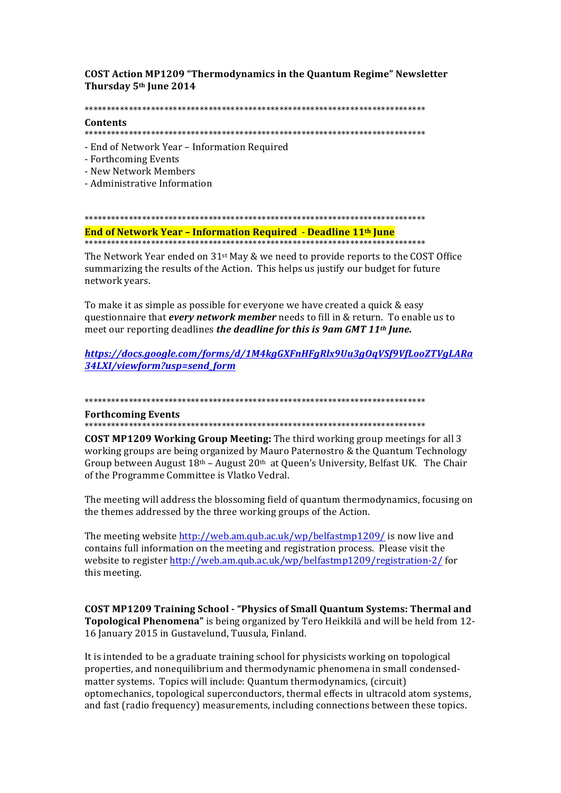**COST Action MP1209 "Thermodynamics in the Quantum Regime" Newsletter** Thursday 5th June 2014

#### 

## Contents

- End of Network Year - Information Required

- Forthcoming Events
- New Network Members
- Administrative Information

# 

End of Network Year - Information Required - Deadline 11<sup>th</sup> June 

The Network Year ended on 31<sup>st</sup> May & we need to provide reports to the COST Office summarizing the results of the Action. This helps us justify our budget for future network years.

To make it as simple as possible for everyone we have created a quick & easy questionnaire that every network member needs to fill in & return. To enable us to meet our reporting deadlines the deadline for this is 9am GMT 11<sup>th</sup> June.

https://docs.google.com/forms/d/1M4kgGXFnHFgRlx9Uu3gOqVSf9VfLooZTVgLARa 34LXI/viewform?usp=send\_form

#### 

### **Forthcoming Events**

**COST MP1209 Working Group Meeting:** The third working group meetings for all 3 working groups are being organized by Mauro Paternostro & the Quantum Technology Group between August  $18<sup>th</sup>$  – August  $20<sup>th</sup>$  at Oueen's University, Belfast UK. The Chair of the Programme Committee is Vlatko Vedral.

The meeting will address the blossoming field of quantum thermodynamics, focusing on the themes addressed by the three working groups of the Action.

The meeting website http://web.am.qub.ac.uk/wp/belfastmp1209/ is now live and contains full information on the meeting and registration process. Please visit the website to register http://web.am.qub.ac.uk/wp/belfastmp1209/registration-2/ for this meeting.

**COST MP1209 Training School - "Physics of Small Quantum Systems: Thermal and** Topological Phenomena" is being organized by Tero Heikkilä and will be held from 12-16 January 2015 in Gustavelund, Tuusula, Finland.

It is intended to be a graduate training school for physicists working on topological properties, and nonequilibrium and thermodynamic phenomena in small condensedmatter systems. Topics will include: Quantum thermodynamics, (circuit) optomechanics, topological superconductors, thermal effects in ultracold atom systems, and fast (radio frequency) measurements, including connections between these topics.